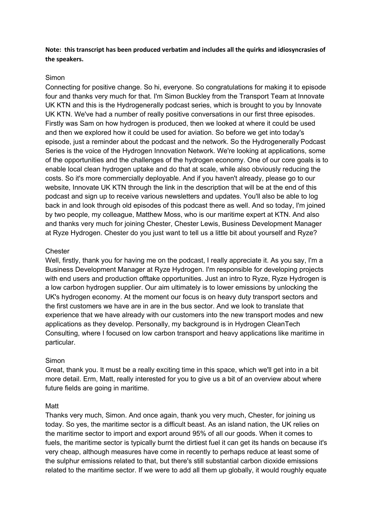# **Note: this transcript has been produced verbatim and includes all the quirks and idiosyncrasies of the speakers.**

## Simon

Connecting for positive change. So hi, everyone. So congratulations for making it to episode four and thanks very much for that. I'm Simon Buckley from the Transport Team at Innovate UK KTN and this is the Hydrogenerally podcast series, which is brought to you by Innovate UK KTN. We've had a number of really positive conversations in our first three episodes. Firstly was Sam on how hydrogen is produced, then we looked at where it could be used and then we explored how it could be used for aviation. So before we get into today's episode, just a reminder about the podcast and the network. So the Hydrogenerally Podcast Series is the voice of the Hydrogen Innovation Network. We're looking at applications, some of the opportunities and the challenges of the hydrogen economy. One of our core goals is to enable local clean hydrogen uptake and do that at scale, while also obviously reducing the costs. So it's more commercially deployable. And if you haven't already, please go to our website, Innovate UK KTN through the link in the description that will be at the end of this podcast and sign up to receive various newsletters and updates. You'll also be able to log back in and look through old episodes of this podcast there as well. And so today, I'm joined by two people, my colleague, Matthew Moss, who is our maritime expert at KTN. And also and thanks very much for joining Chester, Chester Lewis, Business Development Manager at Ryze Hydrogen. Chester do you just want to tell us a little bit about yourself and Ryze?

# **Chester**

Well, firstly, thank you for having me on the podcast, I really appreciate it. As you say, I'm a Business Development Manager at Ryze Hydrogen. I'm responsible for developing projects with end users and production offtake opportunities. Just an intro to Ryze, Ryze Hydrogen is a low carbon hydrogen supplier. Our aim ultimately is to lower emissions by unlocking the UK's hydrogen economy. At the moment our focus is on heavy duty transport sectors and the first customers we have are in are in the bus sector. And we look to translate that experience that we have already with our customers into the new transport modes and new applications as they develop. Personally, my background is in Hydrogen CleanTech Consulting, where I focused on low carbon transport and heavy applications like maritime in particular.

### Simon

Great, thank you. It must be a really exciting time in this space, which we'll get into in a bit more detail. Erm, Matt, really interested for you to give us a bit of an overview about where future fields are going in maritime.

### Matt

Thanks very much, Simon. And once again, thank you very much, Chester, for joining us today. So yes, the maritime sector is a difficult beast. As an island nation, the UK relies on the maritime sector to import and export around 95% of all our goods. When it comes to fuels, the maritime sector is typically burnt the dirtiest fuel it can get its hands on because it's very cheap, although measures have come in recently to perhaps reduce at least some of the sulphur emissions related to that, but there's still substantial carbon dioxide emissions related to the maritime sector. If we were to add all them up globally, it would roughly equate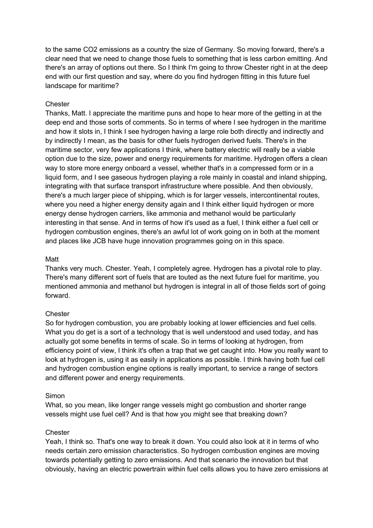to the same CO2 emissions as a country the size of Germany. So moving forward, there's a clear need that we need to change those fuels to something that is less carbon emitting. And there's an array of options out there. So I think I'm going to throw Chester right in at the deep end with our first question and say, where do you find hydrogen fitting in this future fuel landscape for maritime?

### **Chester**

Thanks, Matt. I appreciate the maritime puns and hope to hear more of the getting in at the deep end and those sorts of comments. So in terms of where I see hydrogen in the maritime and how it slots in, I think I see hydrogen having a large role both directly and indirectly and by indirectly I mean, as the basis for other fuels hydrogen derived fuels. There's in the maritime sector, very few applications I think, where battery electric will really be a viable option due to the size, power and energy requirements for maritime. Hydrogen offers a clean way to store more energy onboard a vessel, whether that's in a compressed form or in a liquid form, and I see gaseous hydrogen playing a role mainly in coastal and inland shipping, integrating with that surface transport infrastructure where possible. And then obviously, there's a much larger piece of shipping, which is for larger vessels, intercontinental routes, where you need a higher energy density again and I think either liquid hydrogen or more energy dense hydrogen carriers, like ammonia and methanol would be particularly interesting in that sense. And in terms of how it's used as a fuel, I think either a fuel cell or hydrogen combustion engines, there's an awful lot of work going on in both at the moment and places like JCB have huge innovation programmes going on in this space.

#### Matt

Thanks very much. Chester. Yeah, I completely agree. Hydrogen has a pivotal role to play. There's many different sort of fuels that are touted as the next future fuel for maritime, you mentioned ammonia and methanol but hydrogen is integral in all of those fields sort of going forward.

### **Chester**

So for hydrogen combustion, you are probably looking at lower efficiencies and fuel cells. What you do get is a sort of a technology that is well understood and used today, and has actually got some benefits in terms of scale. So in terms of looking at hydrogen, from efficiency point of view, I think it's often a trap that we get caught into. How you really want to look at hydrogen is, using it as easily in applications as possible. I think having both fuel cell and hydrogen combustion engine options is really important, to service a range of sectors and different power and energy requirements.

#### Simon

What, so you mean, like longer range vessels might go combustion and shorter range vessels might use fuel cell? And is that how you might see that breaking down?

#### **Chester**

Yeah, I think so. That's one way to break it down. You could also look at it in terms of who needs certain zero emission characteristics. So hydrogen combustion engines are moving towards potentially getting to zero emissions. And that scenario the innovation but that obviously, having an electric powertrain within fuel cells allows you to have zero emissions at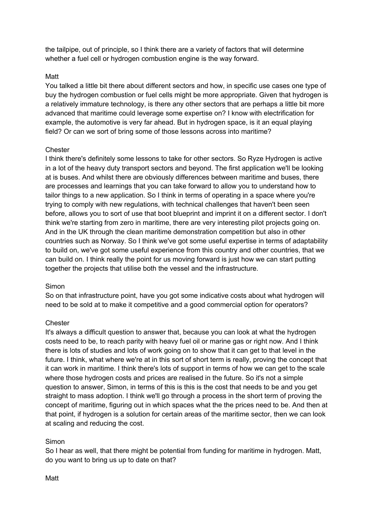the tailpipe, out of principle, so I think there are a variety of factors that will determine whether a fuel cell or hydrogen combustion engine is the way forward.

## Matt

You talked a little bit there about different sectors and how, in specific use cases one type of buy the hydrogen combustion or fuel cells might be more appropriate. Given that hydrogen is a relatively immature technology, is there any other sectors that are perhaps a little bit more advanced that maritime could leverage some expertise on? I know with electrification for example, the automotive is very far ahead. But in hydrogen space, is it an equal playing field? Or can we sort of bring some of those lessons across into maritime?

### **Chester**

I think there's definitely some lessons to take for other sectors. So Ryze Hydrogen is active in a lot of the heavy duty transport sectors and beyond. The first application we'll be looking at is buses. And whilst there are obviously differences between maritime and buses, there are processes and learnings that you can take forward to allow you to understand how to tailor things to a new application. So I think in terms of operating in a space where you're trying to comply with new regulations, with technical challenges that haven't been seen before, allows you to sort of use that boot blueprint and imprint it on a different sector. I don't think we're starting from zero in maritime, there are very interesting pilot projects going on. And in the UK through the clean maritime demonstration competition but also in other countries such as Norway. So I think we've got some useful expertise in terms of adaptability to build on, we've got some useful experience from this country and other countries, that we can build on. I think really the point for us moving forward is just how we can start putting together the projects that utilise both the vessel and the infrastructure.

### Simon

So on that infrastructure point, have you got some indicative costs about what hydrogen will need to be sold at to make it competitive and a good commercial option for operators?

### **Chester**

It's always a difficult question to answer that, because you can look at what the hydrogen costs need to be, to reach parity with heavy fuel oil or marine gas or right now. And I think there is lots of studies and lots of work going on to show that it can get to that level in the future. I think, what where we're at in this sort of short term is really, proving the concept that it can work in maritime. I think there's lots of support in terms of how we can get to the scale where those hydrogen costs and prices are realised in the future. So it's not a simple question to answer, Simon, in terms of this is this is the cost that needs to be and you get straight to mass adoption. I think we'll go through a process in the short term of proving the concept of maritime, figuring out in which spaces what the the prices need to be. And then at that point, if hydrogen is a solution for certain areas of the maritime sector, then we can look at scaling and reducing the cost.

# Simon

So I hear as well, that there might be potential from funding for maritime in hydrogen. Matt, do you want to bring us up to date on that?

### Matt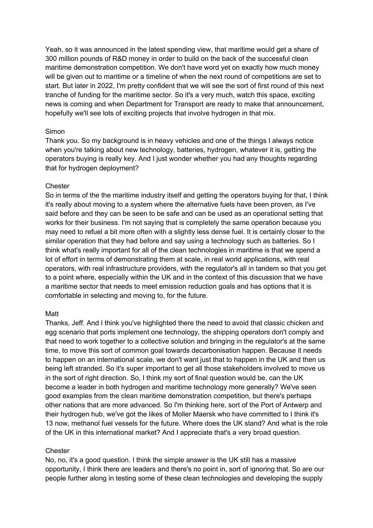Yeah, so it was announced in the latest spending view, that maritime would get a share of 300 million pounds of R&D money in order to build on the back of the successful clean maritime demonstration competition. We don't have word yet on exactly how much money will be given out to maritime or a timeline of when the next round of competitions are set to start. But later in 2022, I'm pretty confident that we will see the sort of first round of this next tranche of funding for the maritime sector. So it's a very much, watch this space, exciting news is coming and when Department for Transport are ready to make that announcement, hopefully we'll see lots of exciting projects that involve hydrogen in that mix.

# Simon

Thank you. So my background is in heavy vehicles and one of the things I always notice when you're talking about new technology, batteries, hydrogen, whatever it is, getting the operators buying is really key. And I just wonder whether you had any thoughts regarding that for hydrogen deployment?

# **Chester**

So in terms of the the maritime industry itself and getting the operators buying for that, I think it's really about moving to a system where the alternative fuels have been proven, as I've said before and they can be seen to be safe and can be used as an operational setting that works for their business. I'm not saying that is completely the same operation because you may need to refuel a bit more often with a slightly less dense fuel. It is certainly closer to the similar operation that they had before and say using a technology such as batteries. So I think what's really important for all of the clean technologies in maritime is that we spend a lot of effort in terms of demonstrating them at scale, in real world applications, with real operators, with real infrastructure providers, with the regulator's all in tandem so that you get to a point where, especially within the UK and in the context of this discussion that we have a maritime sector that needs to meet emission reduction goals and has options that it is comfortable in selecting and moving to, for the future.

### Matt

Thanks, Jeff. And I think you've highlighted there the need to avoid that classic chicken and egg scenario that ports implement one technology, the shipping operators don't comply and that need to work together to a collective solution and bringing in the regulator's at the same time, to move this sort of common goal towards decarbonisation happen. Because it needs to happen on an international scale, we don't want just that to happen in the UK and then us being left stranded. So it's super important to get all those stakeholders involved to move us in the sort of right direction. So, I think my sort of final question would be, can the UK become a leader in both hydrogen and maritime technology more generally? We've seen good examples from the clean maritime demonstration competition, but there's perhaps other nations that are more advanced. So I'm thinking here, sort of the Port of Antwerp and their hydrogen hub, we've got the likes of Moller Maersk who have committed to I think it's 13 now, methanol fuel vessels for the future. Where does the UK stand? And what is the role of the UK in this international market? And I appreciate that's a very broad question.

# **Chester**

No, no, it's a good question. I think the simple answer is the UK still has a massive opportunity, I think there are leaders and there's no point in, sort of ignoring that. So are our people further along in testing some of these clean technologies and developing the supply